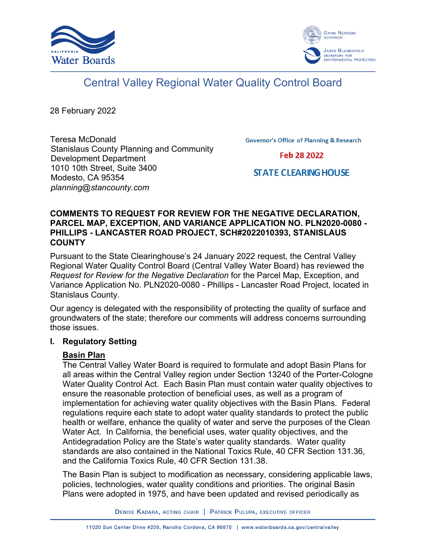



# Central Valley Regional Water Quality Control Board

28 February 2022

Teresa McDonald Stanislaus County Planning and Community Development Department 1010 10th Street, Suite 3400 Modesto, CA 95354 *planning@stancounty.com*

**Governor's Office of Planning & Research** 

Feb 28 2022

**STATE CLEARING HOUSE** 

## **COMMENTS TO REQUEST FOR REVIEW FOR THE NEGATIVE DECLARATION, PARCEL MAP, EXCEPTION, AND VARIANCE APPLICATION NO. PLN2020-0080 - PHILLIPS - LANCASTER ROAD PROJECT, SCH#2022010393, STANISLAUS COUNTY**

Pursuant to the State Clearinghouse's 24 January 2022 request, the Central Valley Regional Water Quality Control Board (Central Valley Water Board) has reviewed the *Request for Review for the Negative Declaration* for the Parcel Map, Exception, and Variance Application No. PLN2020-0080 - Phillips - Lancaster Road Project, located in Stanislaus County.

Our agency is delegated with the responsibility of protecting the quality of surface and groundwaters of the state; therefore our comments will address concerns surrounding those issues.

## **I. Regulatory Setting**

## **Basin Plan**

The Central Valley Water Board is required to formulate and adopt Basin Plans for all areas within the Central Valley region under Section 13240 of the Porter-Cologne Water Quality Control Act. Each Basin Plan must contain water quality objectives to ensure the reasonable protection of beneficial uses, as well as a program of implementation for achieving water quality objectives with the Basin Plans. Federal regulations require each state to adopt water quality standards to protect the public health or welfare, enhance the quality of water and serve the purposes of the Clean Water Act. In California, the beneficial uses, water quality objectives, and the Antidegradation Policy are the State's water quality standards. Water quality standards are also contained in the National Toxics Rule, 40 CFR Section 131.36, and the California Toxics Rule, 40 CFR Section 131.38.

The Basin Plan is subject to modification as necessary, considering applicable laws, policies, technologies, water quality conditions and priorities. The original Basin Plans were adopted in 1975, and have been updated and revised periodically as

DENISE KADARA, ACTING CHAIR | PATRICK PULUPA, EXECUTIVE OFFICER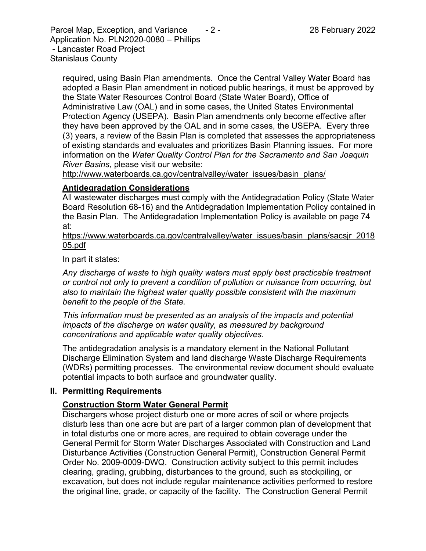Parcel Map, Exception, and Variance  $\qquad 2 - 2 - 2$  28 February 2022 Application No. PLN2020-0080 – Phillips - Lancaster Road Project Stanislaus County

required, using Basin Plan amendments. Once the Central Valley Water Board has adopted a Basin Plan amendment in noticed public hearings, it must be approved by the State Water Resources Control Board (State Water Board), Office of Administrative Law (OAL) and in some cases, the United States Environmental Protection Agency (USEPA). Basin Plan amendments only become effective after they have been approved by the OAL and in some cases, the USEPA. Every three (3) years, a review of the Basin Plan is completed that assesses the appropriateness of existing standards and evaluates and prioritizes Basin Planning issues. For more information on the *Water Quality Control Plan for the Sacramento and San Joaquin River Basins*, please visit our website:

[http://www.waterboards.ca.gov/centralvalley/water\\_issues/basin\\_plans/](http://www.waterboards.ca.gov/centralvalley/water_issues/basin_plans/)

## **Antidegradation Considerations**

All wastewater discharges must comply with the Antidegradation Policy (State Water Board Resolution 68-16) and the Antidegradation Implementation Policy contained in the Basin Plan. The Antidegradation Implementation Policy is available on page 74 at:

https://www.waterboards.ca.gov/centralvalley/water\_issues/basin\_plans/sacsjr\_2018 05.pdf

In part it states:

*Any discharge of waste to high quality waters must apply best practicable treatment or control not only to prevent a condition of pollution or nuisance from occurring, but also to maintain the highest water quality possible consistent with the maximum benefit to the people of the State.*

*This information must be presented as an analysis of the impacts and potential impacts of the discharge on water quality, as measured by background concentrations and applicable water quality objectives.*

The antidegradation analysis is a mandatory element in the National Pollutant Discharge Elimination System and land discharge Waste Discharge Requirements (WDRs) permitting processes. The environmental review document should evaluate potential impacts to both surface and groundwater quality.

## **II. Permitting Requirements**

## **Construction Storm Water General Permit**

Dischargers whose project disturb one or more acres of soil or where projects disturb less than one acre but are part of a larger common plan of development that in total disturbs one or more acres, are required to obtain coverage under the General Permit for Storm Water Discharges Associated with Construction and Land Disturbance Activities (Construction General Permit), Construction General Permit Order No. 2009-0009-DWQ. Construction activity subject to this permit includes clearing, grading, grubbing, disturbances to the ground, such as stockpiling, or excavation, but does not include regular maintenance activities performed to restore the original line, grade, or capacity of the facility. The Construction General Permit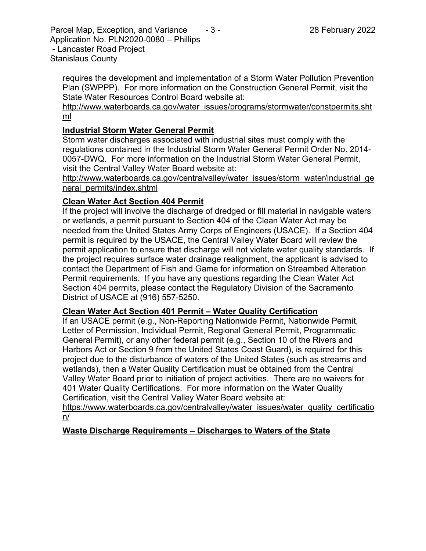Parcel Map, Exception, and Variance  $\qquad 3 \qquad 28$  February 2022 Application No. PLN2020-0080 – Phillips - Lancaster Road Project Stanislaus County

requires the development and implementation of a Storm Water Pollution Prevention Plan (SWPPP). For more information on the Construction General Permit, visit the State Water Resources Control Board website at:

[http://www.waterboards.ca.gov/water\\_issues/programs/stormwater/constpermits.sht](http://www.waterboards.ca.gov/water_issues/programs/stormwater/constpermits.shtml) [ml](http://www.waterboards.ca.gov/water_issues/programs/stormwater/constpermits.shtml)

## **Industrial Storm Water General Permit**

Storm water discharges associated with industrial sites must comply with the regulations contained in the Industrial Storm Water General Permit Order No. 2014- 0057-DWQ. For more information on the Industrial Storm Water General Permit, visit the Central Valley Water Board website at:

http://www.waterboards.ca.gov/centralvalley/water\_issues/storm\_water/industrial\_ge neral\_permits/index.shtml

## **Clean Water Act Section 404 Permit**

If the project will involve the discharge of dredged or fill material in navigable waters or wetlands, a permit pursuant to Section 404 of the Clean Water Act may be needed from the United States Army Corps of Engineers (USACE). If a Section 404 permit is required by the USACE, the Central Valley Water Board will review the permit application to ensure that discharge will not violate water quality standards. If the project requires surface water drainage realignment, the applicant is advised to contact the Department of Fish and Game for information on Streambed Alteration Permit requirements. If you have any questions regarding the Clean Water Act Section 404 permits, please contact the Regulatory Division of the Sacramento District of USACE at (916) 557-5250.

## **Clean Water Act Section 401 Permit – Water Quality Certification**

If an USACE permit (e.g., Non-Reporting Nationwide Permit, Nationwide Permit, Letter of Permission, Individual Permit, Regional General Permit, Programmatic General Permit), or any other federal permit (e.g., Section 10 of the Rivers and Harbors Act or Section 9 from the United States Coast Guard), is required for this project due to the disturbance of waters of the United States (such as streams and wetlands), then a Water Quality Certification must be obtained from the Central Valley Water Board prior to initiation of project activities. There are no waivers for 401 Water Quality Certifications. For more information on the Water Quality Certification, visit the Central Valley Water Board website at:

https://www.waterboards.ca.gov/centralvalley/water\_issues/water\_quality\_certificatio n/

## **Waste Discharge Requirements – Discharges to Waters of the State**